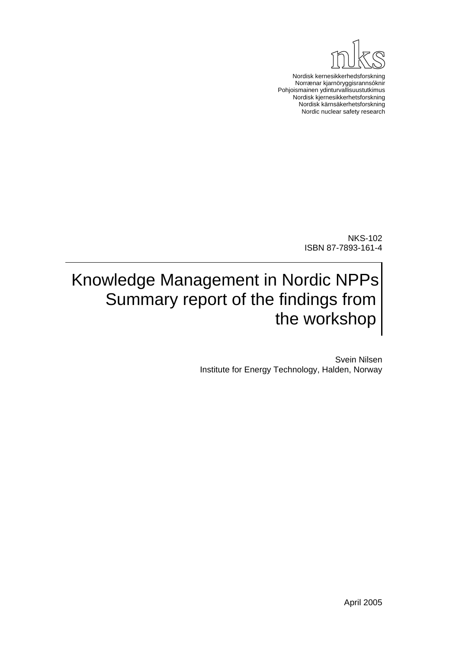

Nordisk kernesikkerhedsforskning Norrænar kjarnöryggisrannsóknir Pohjoismainen ydinturvallisuustutkimus Nordisk kjernesikkerhetsforskning Nordisk kärnsäkerhetsforskning Nordic nuclear safety research

> NKS-102 ISBN 87-7893-161-4

# Knowledge Management in Nordic NPPs Summary report of the findings from the workshop

Svein Nilsen Institute for Energy Technology, Halden, Norway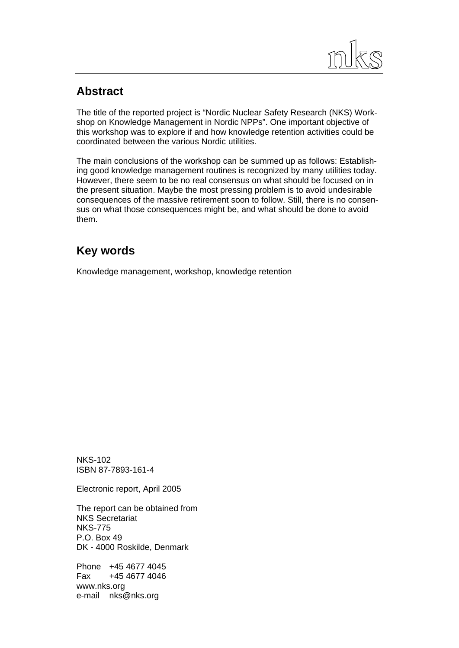

### **Abstract**

The title of the reported project is "Nordic Nuclear Safety Research (NKS) Workshop on Knowledge Management in Nordic NPPs". One important objective of this workshop was to explore if and how knowledge retention activities could be coordinated between the various Nordic utilities.

The main conclusions of the workshop can be summed up as follows: Establishing good knowledge management routines is recognized by many utilities today. However, there seem to be no real consensus on what should be focused on in the present situation. Maybe the most pressing problem is to avoid undesirable consequences of the massive retirement soon to follow. Still, there is no consensus on what those consequences might be, and what should be done to avoid them.

### **Key words**

Knowledge management, workshop, knowledge retention

NKS-102 ISBN 87-7893-161-4

Electronic report, April 2005

The report can be obtained from NKS Secretariat NKS-775 P.O. Box 49 DK - 4000 Roskilde, Denmark

Phone +45 4677 4045 Fax +45 4677 4046 www.nks.org e-mail nks@nks.org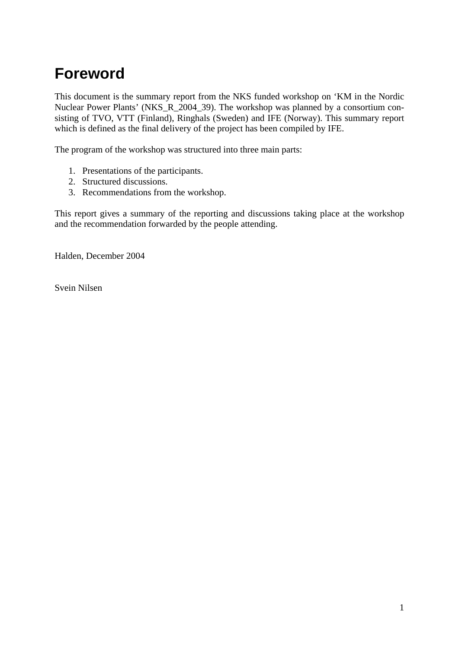# **Foreword**

This document is the summary report from the NKS funded workshop on 'KM in the Nordic Nuclear Power Plants' (NKS\_R\_2004\_39). The workshop was planned by a consortium consisting of TVO, VTT (Finland), Ringhals (Sweden) and IFE (Norway). This summary report which is defined as the final delivery of the project has been compiled by IFE.

The program of the workshop was structured into three main parts:

- 1. Presentations of the participants.
- 2. Structured discussions.
- 3. Recommendations from the workshop.

This report gives a summary of the reporting and discussions taking place at the workshop and the recommendation forwarded by the people attending.

Halden, December 2004

Svein Nilsen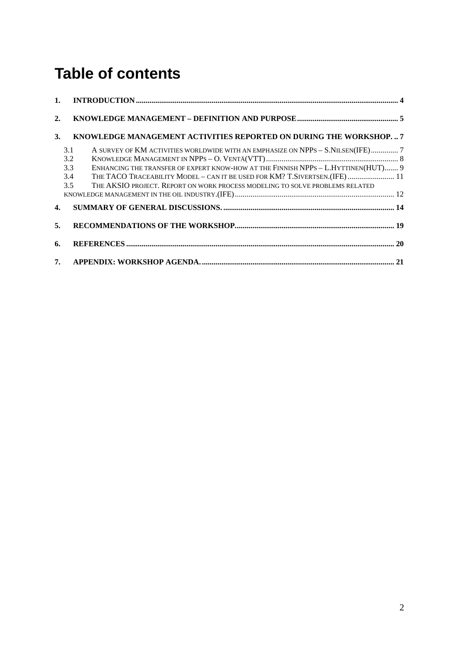# **Table of contents**

| 2. |                                                                                                                                                                                                                                                                                |  |
|----|--------------------------------------------------------------------------------------------------------------------------------------------------------------------------------------------------------------------------------------------------------------------------------|--|
| 3. | KNOWLEDGE MANAGEMENT ACTIVITIES REPORTED ON DURING THE WORKSHOP.  7                                                                                                                                                                                                            |  |
|    | 3.1<br>A SURVEY OF KM ACTIVITIES WORLDWIDE WITH AN EMPHASIZE ON NPPS - S.NILSEN(IFE) 7<br>3.2<br>3.3<br>ENHANCING THE TRANSFER OF EXPERT KNOW-HOW AT THE FINNISH NPPS - L.HYTTINEN(HUT) 9<br>3.4<br>THE TACO TRACEABILITY MODEL - CAN IT BE USED FOR KM? T.SIVERTSEN.(IFE)  11 |  |
|    | THE AKSIO PROJECT. REPORT ON WORK PROCESS MODELING TO SOLVE PROBLEMS RELATED<br>3.5                                                                                                                                                                                            |  |
|    | 4.                                                                                                                                                                                                                                                                             |  |
| 5. |                                                                                                                                                                                                                                                                                |  |
| 6. |                                                                                                                                                                                                                                                                                |  |
|    |                                                                                                                                                                                                                                                                                |  |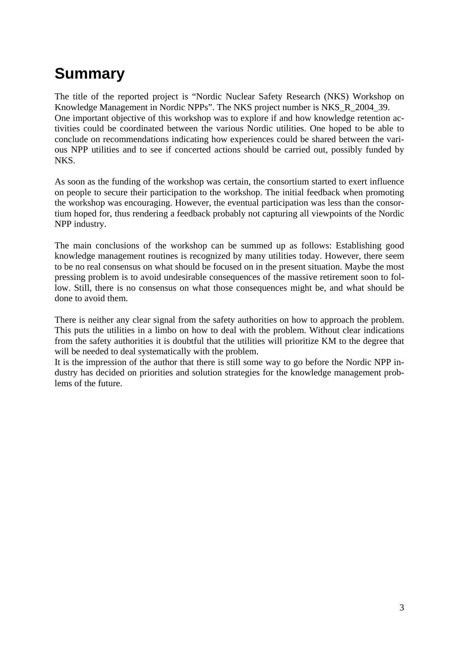# **Summary**

The title of the reported project is "Nordic Nuclear Safety Research (NKS) Workshop on Knowledge Management in Nordic NPPs". The NKS project number is NKS\_R\_2004\_39. One important objective of this workshop was to explore if and how knowledge retention activities could be coordinated between the various Nordic utilities. One hoped to be able to conclude on recommendations indicating how experiences could be shared between the various NPP utilities and to see if concerted actions should be carried out, possibly funded by NKS.

As soon as the funding of the workshop was certain, the consortium started to exert influence on people to secure their participation to the workshop. The initial feedback when promoting the workshop was encouraging. However, the eventual participation was less than the consortium hoped for, thus rendering a feedback probably not capturing all viewpoints of the Nordic NPP industry.

The main conclusions of the workshop can be summed up as follows: Establishing good knowledge management routines is recognized by many utilities today. However, there seem to be no real consensus on what should be focused on in the present situation. Maybe the most pressing problem is to avoid undesirable consequences of the massive retirement soon to follow. Still, there is no consensus on what those consequences might be, and what should be done to avoid them.

There is neither any clear signal from the safety authorities on how to approach the problem. This puts the utilities in a limbo on how to deal with the problem. Without clear indications from the safety authorities it is doubtful that the utilities will prioritize KM to the degree that will be needed to deal systematically with the problem.

It is the impression of the author that there is still some way to go before the Nordic NPP industry has decided on priorities and solution strategies for the knowledge management problems of the future.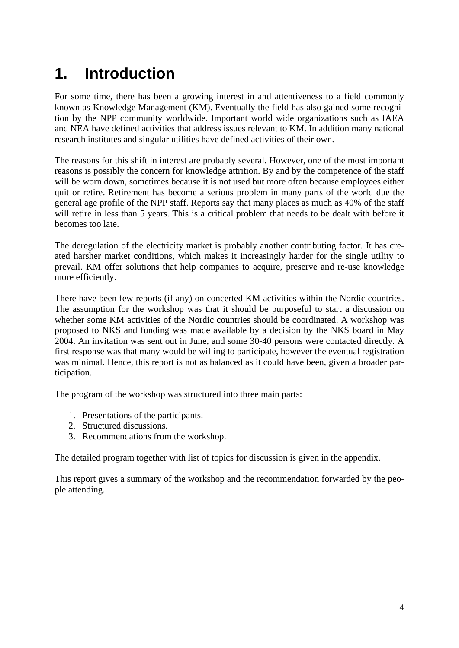# <span id="page-5-0"></span>**1. Introduction**

For some time, there has been a growing interest in and attentiveness to a field commonly known as Knowledge Management (KM). Eventually the field has also gained some recognition by the NPP community worldwide. Important world wide organizations such as IAEA and NEA have defined activities that address issues relevant to KM. In addition many national research institutes and singular utilities have defined activities of their own.

The reasons for this shift in interest are probably several. However, one of the most important reasons is possibly the concern for knowledge attrition. By and by the competence of the staff will be worn down, sometimes because it is not used but more often because employees either quit or retire. Retirement has become a serious problem in many parts of the world due the general age profile of the NPP staff. Reports say that many places as much as 40% of the staff will retire in less than 5 years. This is a critical problem that needs to be dealt with before it becomes too late.

The deregulation of the electricity market is probably another contributing factor. It has created harsher market conditions, which makes it increasingly harder for the single utility to prevail. KM offer solutions that help companies to acquire, preserve and re-use knowledge more efficiently.

There have been few reports (if any) on concerted KM activities within the Nordic countries. The assumption for the workshop was that it should be purposeful to start a discussion on whether some KM activities of the Nordic countries should be coordinated. A workshop was proposed to NKS and funding was made available by a decision by the NKS board in May 2004. An invitation was sent out in June, and some 30-40 persons were contacted directly. A first response was that many would be willing to participate, however the eventual registration was minimal. Hence, this report is not as balanced as it could have been, given a broader participation.

The program of the workshop was structured into three main parts:

- 1. Presentations of the participants.
- 2. Structured discussions.
- 3. Recommendations from the workshop.

The detailed program together with list of topics for discussion is given in the appendix.

This report gives a summary of the workshop and the recommendation forwarded by the people attending.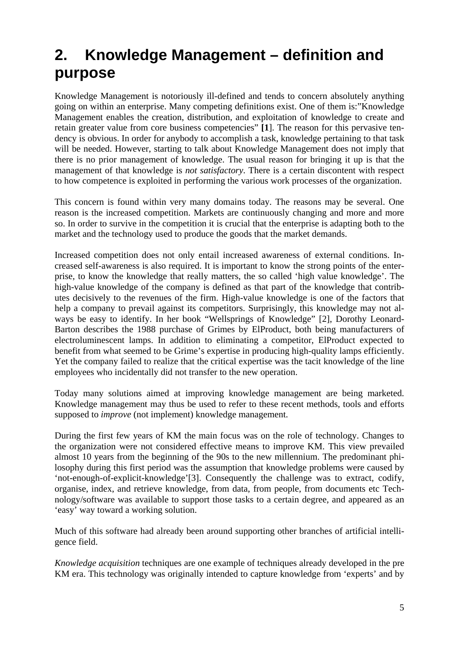# <span id="page-6-0"></span>**2. Knowledge Management – definition and purpose**

Knowledge Management is notoriously ill-defined and tends to concern absolutely anything going on within an enterprise. Many competing definitions exist. One of them is:"Knowledge Management enables the creation, distribution, and exploitation of knowledge to create and retain greater value from core business competencies" **[\[1](#page-21-1)**]. The reason for this pervasive tendency is obvious. In order for anybody to accomplish a task, knowledge pertaining to that task will be needed. However, starting to talk about Knowledge Management does not imply that there is no prior management of knowledge. The usual reason for bringing it up is that the management of that knowledge is *not satisfactory*. There is a certain discontent with respect to how competence is exploited in performing the various work processes of the organization.

This concern is found within very many domains today. The reasons may be several. One reason is the increased competition. Markets are continuously changing and more and more so. In order to survive in the competition it is crucial that the enterprise is adapting both to the market and the technology used to produce the goods that the market demands.

Increased competition does not only entail increased awareness of external conditions. Increased self-awareness is also required. It is important to know the strong points of the enterprise, to know the knowledge that really matters, the so called 'high value knowledge'. The high-value knowledge of the company is defined as that part of the knowledge that contributes decisively to the revenues of the firm. High-value knowledge is one of the factors that help a company to prevail against its competitors. Surprisingly, this knowledge may not always be easy to identify. In her book "Wellsprings of Knowledge" [2], Dorothy Leonard-Barton describes the 1988 purchase of Grimes by ElProduct, both being manufacturers of electroluminescent lamps. In addition to eliminating a competitor, ElProduct expected to benefit from what seemed to be Grime's expertise in producing high-quality lamps efficiently. Yet the company failed to realize that the critical expertise was the tacit knowledge of the line employees who incidentally did not transfer to the new operation.

Today many solutions aimed at improving knowledge management are being marketed. Knowledge management may thus be used to refer to these recent methods, tools and efforts supposed to *improve* (not implement) knowledge management.

During the first few years of KM the main focus was on the role of technology. Changes to the organization were not considered effective means to improve KM. This view prevailed almost 10 years from the beginning of the 90s to the new millennium. The predominant philosophy during this first period was the assumption that knowledge problems were caused by 'not-enough-of-explicit-knowledge'[3]. Consequently the challenge was to extract, codify, organise, index, and retrieve knowledge, from data, from people, from documents etc Technology/software was available to support those tasks to a certain degree, and appeared as an 'easy' way toward a working solution.

Much of this software had already been around supporting other branches of artificial intelligence field.

*[Knowledge acquisition](http://www.epistemics.co.uk/Notes/63-0-0.htm)* techniques are one example of techniques already developed in the pre KM era. This technology was originally intended to capture knowledge from 'experts' and by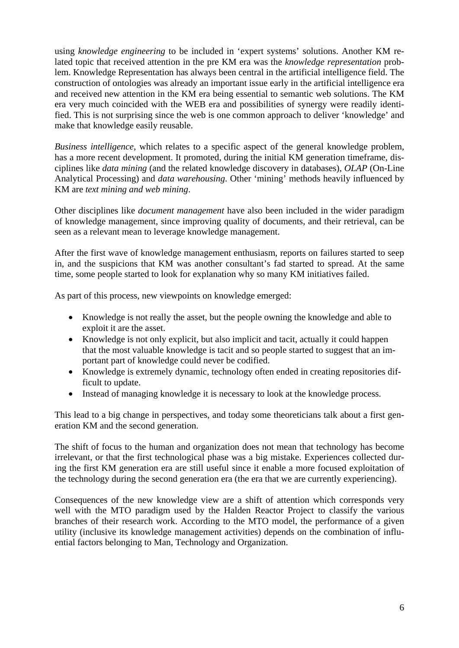using *[knowledge engineering](http://www.mdx.ac.uk/www/ai/samples/ke/51-know.htm)* to be included in 'expert systems' solutions. Another KM related topic that received attention in the pre KM era was the *[knowledge representation](http://medg.lcs.mit.edu/ftp/psz/k-rep.html)* problem. Knowledge Representation has always been central in the [artificial intelligence](http://www.aaai.org/home.html) field. The construction of ontologies was already an important issue early in the artificial intelligence era and received new attention in the KM era being essential to [semantic web](http://www.semanticweb.org/introduction.html) solutions. The KM era very much coincided with the WEB era and possibilities of synergy were readily identified. This is not surprising since the web is one common approach to deliver 'knowledge' and make that knowledge easily reusable.

*[Business intelligence](http://www.cutter.com/bia/)*, which relates to a specific aspect of the general knowledge problem, has a more recent development. It promoted, during the initial KM generation timeframe, disciplines like *[data mining](http://www.kdnuggets.com/faq/data-mining.html)* (and the related knowledge discovery in databases), *[OLAP](http://www.olapreport.com/)* (On-Line Analytical Processing) and *[data warehousing](http://www.dwinfocenter.org/defined.html)*. Other 'mining' methods heavily influenced by KM are *[text mining and web mining](http://www.cs.utexas.edu/users/pebronia/text-mining/)*.

Other disciplines like *[document management](http://www.documentiq.com/)* have also been included in the wider paradigm of knowledge management, since improving quality of documents, and their retrieval, can be seen as a relevant mean to leverage knowledge management.

After the first wave of knowledge management enthusiasm, reports on failures started to seep in, and the suspicions that KM was another consultant's fad started to spread. At the same time, some people started to look for explanation why so many KM initiatives failed.

As part of this process, new viewpoints on knowledge emerged:

- Knowledge is not really the asset, but the people owning the knowledge and able to exploit it are the asset.
- Knowledge is not only explicit, but also implicit and tacit, actually it could happen that the most valuable knowledge is tacit and so people started to suggest that an important part of knowledge could never be codified.
- Knowledge is extremely dynamic, technology often ended in creating repositories difficult to update.
- Instead of managing knowledge it is necessary to look at the knowledge process.

This lead to a big change in perspectives, and today some theoreticians talk about a first generation KM and the second generation.

The shift of focus to the human and organization does not mean that technology has become irrelevant, or that the first technological phase was a big mistake. Experiences collected during the first KM generation era are still useful since it enable a more focused exploitation of the technology during the second generation era (the era that we are currently experiencing).

Consequences of the new knowledge view are a shift of attention which corresponds very well with the MTO paradigm used by the Halden Reactor Project to classify the various branches of their research work. According to the MTO model, the performance of a given utility (inclusive its knowledge management activities) depends on the combination of influential factors belonging to Man, Technology and Organization.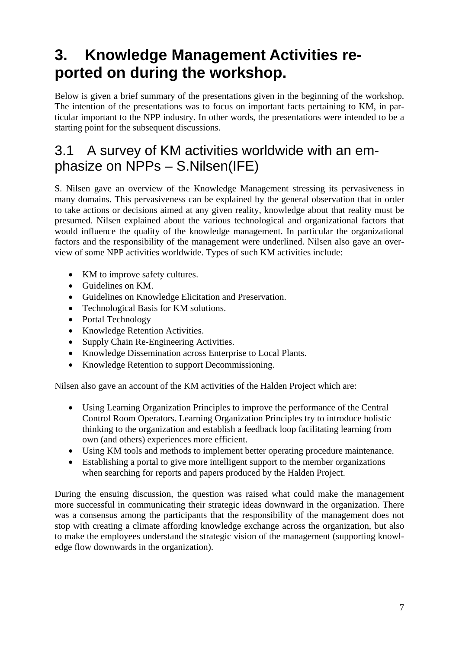# <span id="page-8-0"></span>**3. Knowledge Management Activities reported on during the workshop.**

Below is given a brief summary of the presentations given in the beginning of the workshop. The intention of the presentations was to focus on important facts pertaining to KM, in particular important to the NPP industry. In other words, the presentations were intended to be a starting point for the subsequent discussions.

### 3.1 A survey of KM activities worldwide with an emphasize on NPPs – S.Nilsen(IFE)

S. Nilsen gave an overview of the Knowledge Management stressing its pervasiveness in many domains. This pervasiveness can be explained by the general observation that in order to take actions or decisions aimed at any given reality, knowledge about that reality must be presumed. Nilsen explained about the various technological and organizational factors that would influence the quality of the knowledge management. In particular the organizational factors and the responsibility of the management were underlined. Nilsen also gave an overview of some NPP activities worldwide. Types of such KM activities include:

- KM to improve safety cultures.
- Guidelines on KM.
- Guidelines on Knowledge Elicitation and Preservation.
- Technological Basis for KM solutions.
- Portal Technology
- Knowledge Retention Activities.
- Supply Chain Re-Engineering Activities.
- Knowledge Dissemination across Enterprise to Local Plants.
- Knowledge Retention to support Decommissioning.

Nilsen also gave an account of the KM activities of the Halden Project which are:

- Using Learning Organization Principles to improve the performance of the Central Control Room Operators. Learning Organization Principles try to introduce holistic thinking to the organization and establish a feedback loop facilitating learning from own (and others) experiences more efficient.
- Using KM tools and methods to implement better operating procedure maintenance.
- Establishing a portal to give more intelligent support to the member organizations when searching for reports and papers produced by the Halden Project.

During the ensuing discussion, the question was raised what could make the management more successful in communicating their strategic ideas downward in the organization. There was a consensus among the participants that the responsibility of the management does not stop with creating a climate affording knowledge exchange across the organization, but also to make the employees understand the strategic vision of the management (supporting knowledge flow downwards in the organization).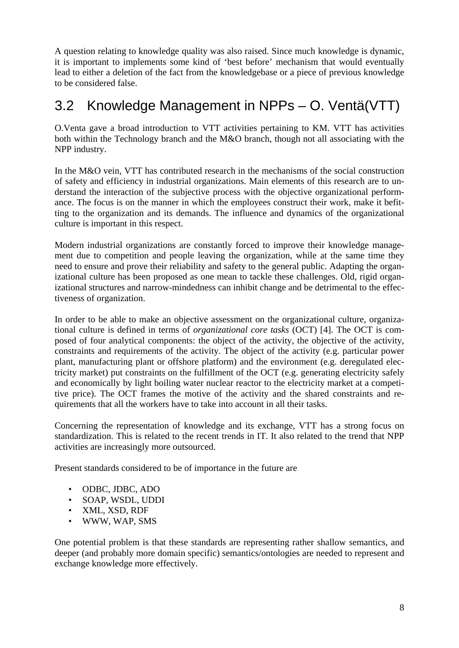<span id="page-9-0"></span>A question relating to knowledge quality was also raised. Since much knowledge is dynamic, it is important to implements some kind of 'best before' mechanism that would eventually lead to either a deletion of the fact from the knowledgebase or a piece of previous knowledge to be considered false.

### 3.2 Knowledge Management in NPPs – O. Ventä(VTT)

O.Venta gave a broad introduction to VTT activities pertaining to KM. VTT has activities both within the Technology branch and the M&O branch, though not all associating with the NPP industry.

In the M&O vein, VTT has contributed research in the mechanisms of the social construction of safety and efficiency in industrial organizations. Main elements of this research are to understand the interaction of the subjective process with the objective organizational performance. The focus is on the manner in which the employees construct their work, make it befitting to the organization and its demands. The influence and dynamics of the organizational culture is important in this respect.

Modern industrial organizations are constantly forced to improve their knowledge management due to competition and people leaving the organization, while at the same time they need to ensure and prove their reliability and safety to the general public. Adapting the organizational culture has been proposed as one mean to tackle these challenges. Old, rigid organizational structures and narrow-mindedness can inhibit change and be detrimental to the effectiveness of organization.

In order to be able to make an objective assessment on the organizational culture, organizational culture is defined in terms of *organizational core tasks* (OCT) [4]. The OCT is composed of four analytical components: the object of the activity, the objective of the activity, constraints and requirements of the activity. The object of the activity (e.g. particular power plant, manufacturing plant or offshore platform) and the environment (e.g. deregulated electricity market) put constraints on the fulfillment of the OCT (e.g. generating electricity safely and economically by light boiling water nuclear reactor to the electricity market at a competitive price). The OCT frames the motive of the activity and the shared constraints and requirements that all the workers have to take into account in all their tasks.

Concerning the representation of knowledge and its exchange, VTT has a strong focus on standardization. This is related to the recent trends in IT. It also related to the trend that NPP activities are increasingly more outsourced.

Present standards considered to be of importance in the future are

- ODBC, JDBC, ADO
- SOAP, WSDL, UDDI
- XML, XSD, RDF
- WWW, WAP, SMS

One potential problem is that these standards are representing rather shallow semantics, and deeper (and probably more domain specific) semantics/ontologies are needed to represent and exchange knowledge more effectively.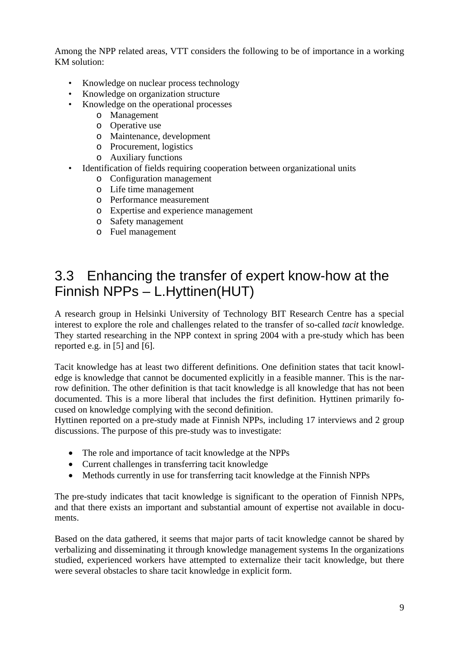<span id="page-10-0"></span>Among the NPP related areas, VTT considers the following to be of importance in a working KM solution:

- Knowledge on nuclear process technology
- Knowledge on organization structure
- Knowledge on the operational processes
	- o Management
	- o Operative use
	- o Maintenance, development
	- o Procurement, logistics
	- o Auxiliary functions
- Identification of fields requiring cooperation between organizational units
	- o Configuration management
	- o Life time management
	- o Performance measurement
	- o Expertise and experience management
	- o Safety management
	- o Fuel management

### 3.3 Enhancing the transfer of expert know-how at the Finnish NPPs – L.Hyttinen(HUT)

A research group in Helsinki University of Technology BIT Research Centre has a special interest to explore the role and challenges related to the transfer of so-called *tacit* knowledge. They started researching in the NPP context in spring 2004 with a pre-study which has been reported e.g. in [5] and [6].

Tacit knowledge has at least two different definitions. One definition states that tacit knowledge is knowledge that cannot be documented explicitly in a feasible manner. This is the narrow definition. The other definition is that tacit knowledge is all knowledge that has not been documented. This is a more liberal that includes the first definition. Hyttinen primarily focused on knowledge complying with the second definition.

Hyttinen reported on a pre-study made at Finnish NPPs, including 17 interviews and 2 group discussions. The purpose of this pre-study was to investigate:

- The role and importance of tacit knowledge at the NPPs
- Current challenges in transferring tacit knowledge
- Methods currently in use for transferring tacit knowledge at the Finnish NPPs

The pre-study indicates that tacit knowledge is significant to the operation of Finnish NPPs, and that there exists an important and substantial amount of expertise not available in documents.

Based on the data gathered, it seems that major parts of tacit knowledge cannot be shared by verbalizing and disseminating it through knowledge management systems In the organizations studied, experienced workers have attempted to externalize their tacit knowledge, but there were several obstacles to share tacit knowledge in explicit form.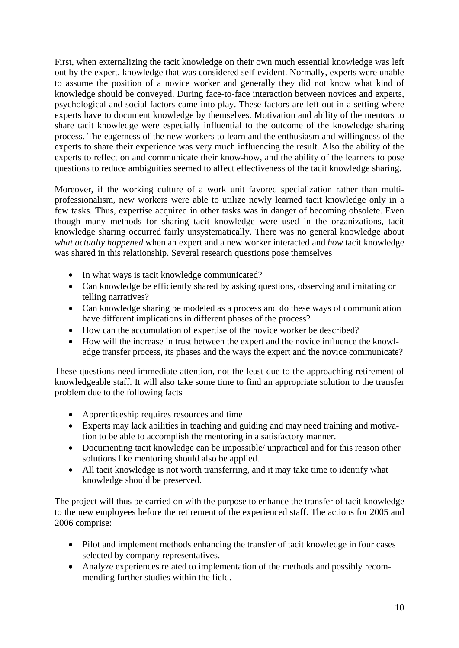First, when externalizing the tacit knowledge on their own much essential knowledge was left out by the expert, knowledge that was considered self-evident. Normally, experts were unable to assume the position of a novice worker and generally they did not know what kind of knowledge should be conveyed. During face-to-face interaction between novices and experts, psychological and social factors came into play. These factors are left out in a setting where experts have to document knowledge by themselves. Motivation and ability of the mentors to share tacit knowledge were especially influential to the outcome of the knowledge sharing process. The eagerness of the new workers to learn and the enthusiasm and willingness of the experts to share their experience was very much influencing the result. Also the ability of the experts to reflect on and communicate their know-how, and the ability of the learners to pose questions to reduce ambiguities seemed to affect effectiveness of the tacit knowledge sharing.

Moreover, if the working culture of a work unit favored specialization rather than multiprofessionalism, new workers were able to utilize newly learned tacit knowledge only in a few tasks. Thus, expertise acquired in other tasks was in danger of becoming obsolete. Even though many methods for sharing tacit knowledge were used in the organizations, tacit knowledge sharing occurred fairly unsystematically. There was no general knowledge about *what actually happened* when an expert and a new worker interacted and *how* tacit knowledge was shared in this relationship. Several research questions pose themselves

- In what ways is tacit knowledge communicated?
- Can knowledge be efficiently shared by asking questions, observing and imitating or telling narratives?
- Can knowledge sharing be modeled as a process and do these ways of communication have different implications in different phases of the process?
- How can the accumulation of expertise of the novice worker be described?
- How will the increase in trust between the expert and the novice influence the knowledge transfer process, its phases and the ways the expert and the novice communicate?

These questions need immediate attention, not the least due to the approaching retirement of knowledgeable staff. It will also take some time to find an appropriate solution to the transfer problem due to the following facts

- Apprenticeship requires resources and time
- Experts may lack abilities in teaching and guiding and may need training and motivation to be able to accomplish the mentoring in a satisfactory manner.
- Documenting tacit knowledge can be impossible/ unpractical and for this reason other solutions like mentoring should also be applied.
- All tacit knowledge is not worth transferring, and it may take time to identify what knowledge should be preserved.

The project will thus be carried on with the purpose to enhance the transfer of tacit knowledge to the new employees before the retirement of the experienced staff. The actions for 2005 and 2006 comprise:

- Pilot and implement methods enhancing the transfer of tacit knowledge in four cases selected by company representatives.
- Analyze experiences related to implementation of the methods and possibly recommending further studies within the field.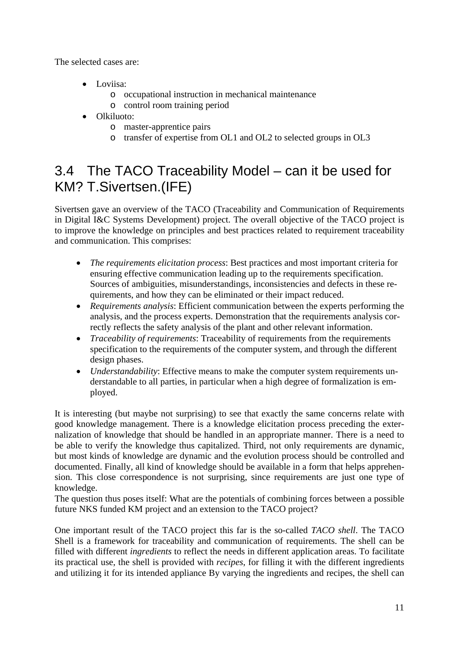<span id="page-12-0"></span>The selected cases are:

- Loviisa:
	- o occupational instruction in mechanical maintenance
	- o control room training period
- Olkiluoto:
	- o master-apprentice pairs
	- o transfer of expertise from OL1 and OL2 to selected groups in OL3

### 3.4 The TACO Traceability Model – can it be used for KM? T.Sivertsen.(IFE)

Sivertsen gave an overview of the TACO (Traceability and Communication of Requirements in Digital I&C Systems Development) project. The overall objective of the TACO project is to improve the knowledge on principles and best practices related to requirement traceability and communication. This comprises:

- *The requirements elicitation process*: Best practices and most important criteria for ensuring effective communication leading up to the requirements specification. Sources of ambiguities, misunderstandings, inconsistencies and defects in these requirements, and how they can be eliminated or their impact reduced.
- *Requirements analysis*: Efficient communication between the experts performing the analysis, and the process experts. Demonstration that the requirements analysis correctly reflects the safety analysis of the plant and other relevant information.
- *Traceability of requirements*: Traceability of requirements from the requirements specification to the requirements of the computer system, and through the different design phases.
- *Understandability*: Effective means to make the computer system requirements understandable to all parties, in particular when a high degree of formalization is employed.

It is interesting (but maybe not surprising) to see that exactly the same concerns relate with good knowledge management. There is a knowledge elicitation process preceding the externalization of knowledge that should be handled in an appropriate manner. There is a need to be able to verify the knowledge thus capitalized. Third, not only requirements are dynamic, but most kinds of knowledge are dynamic and the evolution process should be controlled and documented. Finally, all kind of knowledge should be available in a form that helps apprehension. This close correspondence is not surprising, since requirements are just one type of knowledge.

The question thus poses itself: What are the potentials of combining forces between a possible future NKS funded KM project and an extension to the TACO project?

One important result of the TACO project this far is the so-called *TACO shell*. The TACO Shell is a framework for traceability and communication of requirements. The shell can be filled with different *ingredients* to reflect the needs in different application areas. To facilitate its practical use, the shell is provided with *recipes*, for filling it with the different ingredients and utilizing it for its intended appliance By varying the ingredients and recipes, the shell can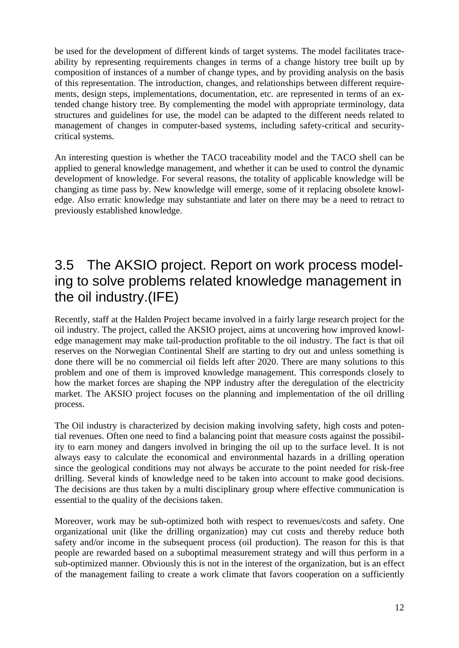<span id="page-13-0"></span>be used for the development of different kinds of target systems. The model facilitates traceability by representing requirements changes in terms of a change history tree built up by composition of instances of a number of change types, and by providing analysis on the basis of this representation. The introduction, changes, and relationships between different requirements, design steps, implementations, documentation, etc. are represented in terms of an extended change history tree. By complementing the model with appropriate terminology, data structures and guidelines for use, the model can be adapted to the different needs related to management of changes in computer-based systems, including safety-critical and securitycritical systems.

An interesting question is whether the TACO traceability model and the TACO shell can be applied to general knowledge management, and whether it can be used to control the dynamic development of knowledge. For several reasons, the totality of applicable knowledge will be changing as time pass by. New knowledge will emerge, some of it replacing obsolete knowledge. Also erratic knowledge may substantiate and later on there may be a need to retract to previously established knowledge.

### 3.5 The AKSIO project. Report on work process modeling to solve problems related knowledge management in the oil industry.(IFE)

Recently, staff at the Halden Project became involved in a fairly large research project for the oil industry. The project, called the AKSIO project, aims at uncovering how improved knowledge management may make tail-production profitable to the oil industry. The fact is that oil reserves on the Norwegian Continental Shelf are starting to dry out and unless something is done there will be no commercial oil fields left after 2020. There are many solutions to this problem and one of them is improved knowledge management. This corresponds closely to how the market forces are shaping the NPP industry after the deregulation of the electricity market. The AKSIO project focuses on the planning and implementation of the oil drilling process.

The Oil industry is characterized by decision making involving safety, high costs and potential revenues. Often one need to find a balancing point that measure costs against the possibility to earn money and dangers involved in bringing the oil up to the surface level. It is not always easy to calculate the economical and environmental hazards in a drilling operation since the geological conditions may not always be accurate to the point needed for risk-free drilling. Several kinds of knowledge need to be taken into account to make good decisions. The decisions are thus taken by a multi disciplinary group where effective communication is essential to the quality of the decisions taken.

Moreover, work may be sub-optimized both with respect to revenues/costs and safety. One organizational unit (like the drilling organization) may cut costs and thereby reduce both safety and/or income in the subsequent process (oil production). The reason for this is that people are rewarded based on a suboptimal measurement strategy and will thus perform in a sub-optimized manner. Obviously this is not in the interest of the organization, but is an effect of the management failing to create a work climate that favors cooperation on a sufficiently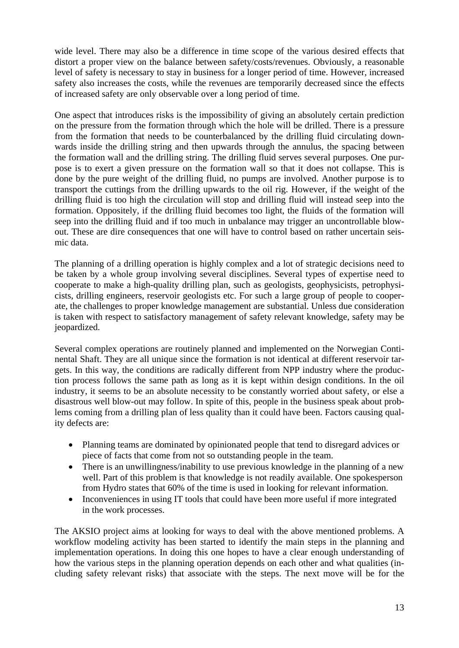wide level. There may also be a difference in time scope of the various desired effects that distort a proper view on the balance between safety/costs/revenues. Obviously, a reasonable level of safety is necessary to stay in business for a longer period of time. However, increased safety also increases the costs, while the revenues are temporarily decreased since the effects of increased safety are only observable over a long period of time.

One aspect that introduces risks is the impossibility of giving an absolutely certain prediction on the pressure from the formation through which the hole will be drilled. There is a pressure from the formation that needs to be counterbalanced by the drilling fluid circulating downwards inside the drilling string and then upwards through the annulus, the spacing between the formation wall and the drilling string. The drilling fluid serves several purposes. One purpose is to exert a given pressure on the formation wall so that it does not collapse. This is done by the pure weight of the drilling fluid, no pumps are involved. Another purpose is to transport the cuttings from the drilling upwards to the oil rig. However, if the weight of the drilling fluid is too high the circulation will stop and drilling fluid will instead seep into the formation. Oppositely, if the drilling fluid becomes too light, the fluids of the formation will seep into the drilling fluid and if too much in unbalance may trigger an uncontrollable blowout. These are dire consequences that one will have to control based on rather uncertain seismic data.

The planning of a drilling operation is highly complex and a lot of strategic decisions need to be taken by a whole group involving several disciplines. Several types of expertise need to cooperate to make a high-quality drilling plan, such as geologists, geophysicists, petrophysicists, drilling engineers, reservoir geologists etc. For such a large group of people to cooperate, the challenges to proper knowledge management are substantial. Unless due consideration is taken with respect to satisfactory management of safety relevant knowledge, safety may be jeopardized.

Several complex operations are routinely planned and implemented on the Norwegian Continental Shaft. They are all unique since the formation is not identical at different reservoir targets. In this way, the conditions are radically different from NPP industry where the production process follows the same path as long as it is kept within design conditions. In the oil industry, it seems to be an absolute necessity to be constantly worried about safety, or else a disastrous well blow-out may follow. In spite of this, people in the business speak about problems coming from a drilling plan of less quality than it could have been. Factors causing quality defects are:

- Planning teams are dominated by opinionated people that tend to disregard advices or piece of facts that come from not so outstanding people in the team.
- There is an unwillingness/inability to use previous knowledge in the planning of a new well. Part of this problem is that knowledge is not readily available. One spokesperson from Hydro states that 60% of the time is used in looking for relevant information.
- Inconveniences in using IT tools that could have been more useful if more integrated in the work processes.

The AKSIO project aims at looking for ways to deal with the above mentioned problems. A workflow modeling activity has been started to identify the main steps in the planning and implementation operations. In doing this one hopes to have a clear enough understanding of how the various steps in the planning operation depends on each other and what qualities (including safety relevant risks) that associate with the steps. The next move will be for the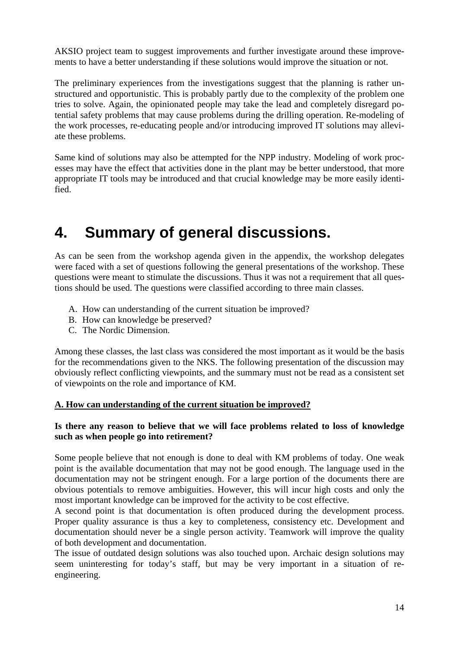<span id="page-15-0"></span>AKSIO project team to suggest improvements and further investigate around these improvements to have a better understanding if these solutions would improve the situation or not.

The preliminary experiences from the investigations suggest that the planning is rather unstructured and opportunistic. This is probably partly due to the complexity of the problem one tries to solve. Again, the opinionated people may take the lead and completely disregard potential safety problems that may cause problems during the drilling operation. Re-modeling of the work processes, re-educating people and/or introducing improved IT solutions may alleviate these problems.

Same kind of solutions may also be attempted for the NPP industry. Modeling of work processes may have the effect that activities done in the plant may be better understood, that more appropriate IT tools may be introduced and that crucial knowledge may be more easily identified.

## **4. Summary of general discussions.**

As can be seen from the workshop agenda given in the appendix, the workshop delegates were faced with a set of questions following the general presentations of the workshop. These questions were meant to stimulate the discussions. Thus it was not a requirement that all questions should be used. The questions were classified according to three main classes.

- A. How can understanding of the current situation be improved?
- B. How can knowledge be preserved?
- C. The Nordic Dimension.

Among these classes, the last class was considered the most important as it would be the basis for the recommendations given to the NKS. The following presentation of the discussion may obviously reflect conflicting viewpoints, and the summary must not be read as a consistent set of viewpoints on the role and importance of KM.

#### **A. How can understanding of the current situation be improved?**

#### **Is there any reason to believe that we will face problems related to loss of knowledge such as when people go into retirement?**

Some people believe that not enough is done to deal with KM problems of today. One weak point is the available documentation that may not be good enough. The language used in the documentation may not be stringent enough. For a large portion of the documents there are obvious potentials to remove ambiguities. However, this will incur high costs and only the most important knowledge can be improved for the activity to be cost effective.

A second point is that documentation is often produced during the development process. Proper quality assurance is thus a key to completeness, consistency etc. Development and documentation should never be a single person activity. Teamwork will improve the quality of both development and documentation.

The issue of outdated design solutions was also touched upon. Archaic design solutions may seem uninteresting for today's staff, but may be very important in a situation of reengineering.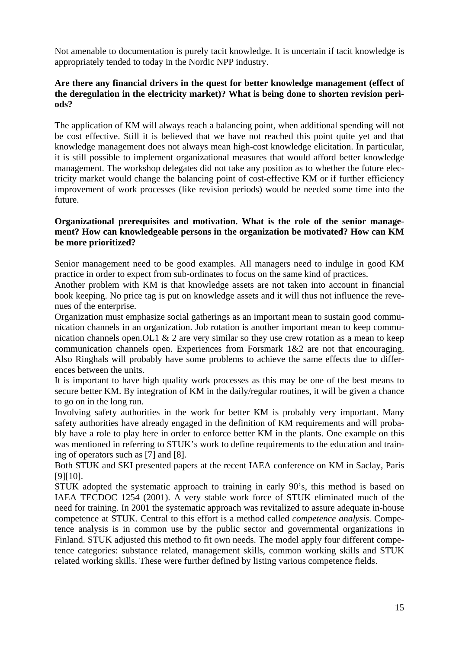Not amenable to documentation is purely tacit knowledge. It is uncertain if tacit knowledge is appropriately tended to today in the Nordic NPP industry.

#### **Are there any financial drivers in the quest for better knowledge management (effect of the deregulation in the electricity market)? What is being done to shorten revision periods?**

The application of KM will always reach a balancing point, when additional spending will not be cost effective. Still it is believed that we have not reached this point quite yet and that knowledge management does not always mean high-cost knowledge elicitation. In particular, it is still possible to implement organizational measures that would afford better knowledge management. The workshop delegates did not take any position as to whether the future electricity market would change the balancing point of cost-effective KM or if further efficiency improvement of work processes (like revision periods) would be needed some time into the future.

#### **Organizational prerequisites and motivation. What is the role of the senior management? How can knowledgeable persons in the organization be motivated? How can KM be more prioritized?**

Senior management need to be good examples. All managers need to indulge in good KM practice in order to expect from sub-ordinates to focus on the same kind of practices.

Another problem with KM is that knowledge assets are not taken into account in financial book keeping. No price tag is put on knowledge assets and it will thus not influence the revenues of the enterprise.

Organization must emphasize social gatherings as an important mean to sustain good communication channels in an organization. Job rotation is another important mean to keep communication channels open.OL1 & 2 are very similar so they use crew rotation as a mean to keep communication channels open. Experiences from Forsmark 1&2 are not that encouraging. Also Ringhals will probably have some problems to achieve the same effects due to differences between the units.

It is important to have high quality work processes as this may be one of the best means to secure better KM. By integration of KM in the daily/regular routines, it will be given a chance to go on in the long run.

Involving safety authorities in the work for better KM is probably very important. Many safety authorities have already engaged in the definition of KM requirements and will probably have a role to play here in order to enforce better KM in the plants. One example on this was mentioned in referring to STUK's work to define requirements to the education and training of operators such as [7] and [8].

Both STUK and SKI presented papers at the recent IAEA conference on KM in Saclay, Paris [9][10].

STUK adopted the systematic approach to training in early 90's, this method is based on IAEA TECDOC 1254 (2001). A very stable work force of STUK eliminated much of the need for training. In 2001 the systematic approach was revitalized to assure adequate in-house competence at STUK. Central to this effort is a method called *competence analysis.* Competence analysis is in common use by the public sector and governmental organizations in Finland. STUK adjusted this method to fit own needs. The model apply four different competence categories: substance related, management skills, common working skills and STUK related working skills. These were further defined by listing various competence fields.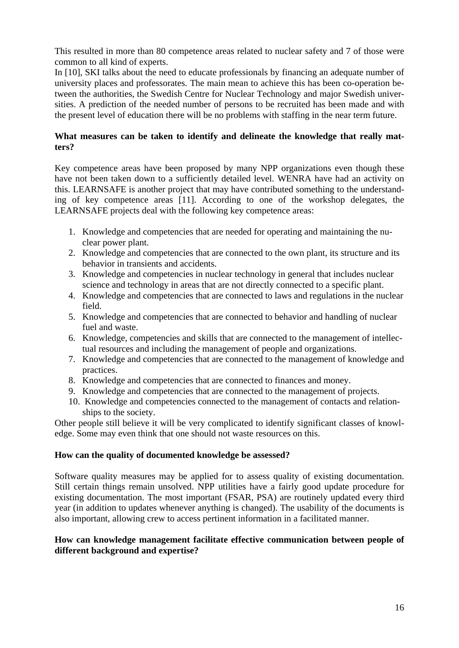This resulted in more than 80 competence areas related to nuclear safety and 7 of those were common to all kind of experts.

In [10], SKI talks about the need to educate professionals by financing an adequate number of university places and professorates. The main mean to achieve this has been co-operation between the authorities, the Swedish Centre for Nuclear Technology and major Swedish universities. A prediction of the needed number of persons to be recruited has been made and with the present level of education there will be no problems with staffing in the near term future.

#### **What measures can be taken to identify and delineate the knowledge that really matters?**

Key competence areas have been proposed by many NPP organizations even though these have not been taken down to a sufficiently detailed level. WENRA have had an activity on this. LEARNSAFE is another project that may have contributed something to the understanding of key competence areas [11]. According to one of the workshop delegates, the LEARNSAFE projects deal with the following key competence areas:

- 1. Knowledge and competencies that are needed for operating and maintaining the nuclear power plant.
- 2. Knowledge and competencies that are connected to the own plant, its structure and its behavior in transients and accidents.
- 3. Knowledge and competencies in nuclear technology in general that includes nuclear science and technology in areas that are not directly connected to a specific plant.
- 4. Knowledge and competencies that are connected to laws and regulations in the nuclear field.
- 5. Knowledge and competencies that are connected to behavior and handling of nuclear fuel and waste.
- 6. Knowledge, competencies and skills that are connected to the management of intellectual resources and including the management of people and organizations.
- 7. Knowledge and competencies that are connected to the management of knowledge and practices.
- 8. Knowledge and competencies that are connected to finances and money.
- 9. Knowledge and competencies that are connected to the management of projects.
- 10. Knowledge and competencies connected to the management of contacts and relationships to the society.

Other people still believe it will be very complicated to identify significant classes of knowledge. Some may even think that one should not waste resources on this.

#### **How can the quality of documented knowledge be assessed?**

Software quality measures may be applied for to assess quality of existing documentation. Still certain things remain unsolved. NPP utilities have a fairly good update procedure for existing documentation. The most important (FSAR, PSA) are routinely updated every third year (in addition to updates whenever anything is changed). The usability of the documents is also important, allowing crew to access pertinent information in a facilitated manner.

#### **How can knowledge management facilitate effective communication between people of different background and expertise?**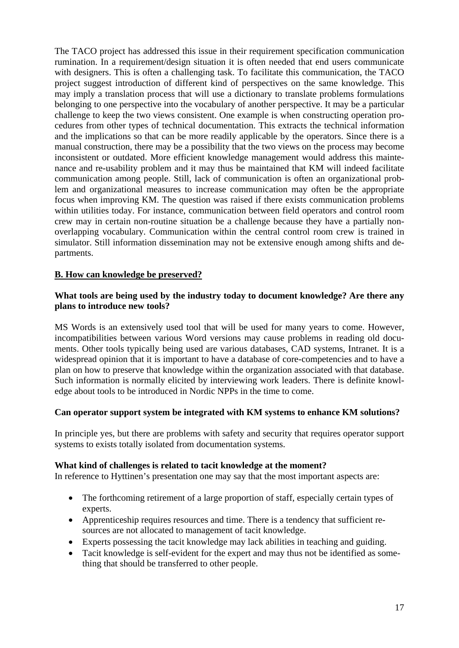The TACO project has addressed this issue in their requirement specification communication rumination. In a requirement/design situation it is often needed that end users communicate with designers. This is often a challenging task. To facilitate this communication, the TACO project suggest introduction of different kind of perspectives on the same knowledge. This may imply a translation process that will use a dictionary to translate problems formulations belonging to one perspective into the vocabulary of another perspective. It may be a particular challenge to keep the two views consistent. One example is when constructing operation procedures from other types of technical documentation. This extracts the technical information and the implications so that can be more readily applicable by the operators. Since there is a manual construction, there may be a possibility that the two views on the process may become inconsistent or outdated. More efficient knowledge management would address this maintenance and re-usability problem and it may thus be maintained that KM will indeed facilitate communication among people. Still, lack of communication is often an organizational problem and organizational measures to increase communication may often be the appropriate focus when improving KM. The question was raised if there exists communication problems within utilities today. For instance, communication between field operators and control room crew may in certain non-routine situation be a challenge because they have a partially nonoverlapping vocabulary. Communication within the central control room crew is trained in simulator. Still information dissemination may not be extensive enough among shifts and departments.

#### **B. How can knowledge be preserved?**

#### **What tools are being used by the industry today to document knowledge? Are there any plans to introduce new tools?**

MS Words is an extensively used tool that will be used for many years to come. However, incompatibilities between various Word versions may cause problems in reading old documents. Other tools typically being used are various databases, CAD systems, Intranet. It is a widespread opinion that it is important to have a database of core-competencies and to have a plan on how to preserve that knowledge within the organization associated with that database. Such information is normally elicited by interviewing work leaders. There is definite knowledge about tools to be introduced in Nordic NPPs in the time to come.

#### **Can operator support system be integrated with KM systems to enhance KM solutions?**

In principle yes, but there are problems with safety and security that requires operator support systems to exists totally isolated from documentation systems.

#### **What kind of challenges is related to tacit knowledge at the moment?**

In reference to Hyttinen's presentation one may say that the most important aspects are:

- The forthcoming retirement of a large proportion of staff, especially certain types of experts.
- Apprenticeship requires resources and time. There is a tendency that sufficient resources are not allocated to management of tacit knowledge.
- Experts possessing the tacit knowledge may lack abilities in teaching and guiding.
- Tacit knowledge is self-evident for the expert and may thus not be identified as something that should be transferred to other people.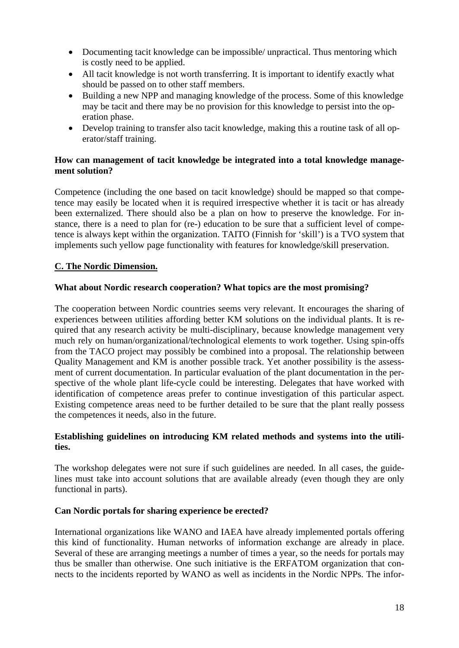- Documenting tacit knowledge can be impossible/ unpractical. Thus mentoring which is costly need to be applied.
- All tacit knowledge is not worth transferring. It is important to identify exactly what should be passed on to other staff members.
- Building a new NPP and managing knowledge of the process. Some of this knowledge may be tacit and there may be no provision for this knowledge to persist into the operation phase.
- Develop training to transfer also tacit knowledge, making this a routine task of all operator/staff training.

#### **How can management of tacit knowledge be integrated into a total knowledge management solution?**

Competence (including the one based on tacit knowledge) should be mapped so that competence may easily be located when it is required irrespective whether it is tacit or has already been externalized. There should also be a plan on how to preserve the knowledge. For instance, there is a need to plan for (re-) education to be sure that a sufficient level of competence is always kept within the organization. TAITO (Finnish for 'skill') is a TVO system that implements such yellow page functionality with features for knowledge/skill preservation.

#### **C. The Nordic Dimension.**

#### **What about Nordic research cooperation? What topics are the most promising?**

The cooperation between Nordic countries seems very relevant. It encourages the sharing of experiences between utilities affording better KM solutions on the individual plants. It is required that any research activity be multi-disciplinary, because knowledge management very much rely on human/organizational/technological elements to work together. Using spin-offs from the TACO project may possibly be combined into a proposal. The relationship between Quality Management and KM is another possible track. Yet another possibility is the assessment of current documentation. In particular evaluation of the plant documentation in the perspective of the whole plant life-cycle could be interesting. Delegates that have worked with identification of competence areas prefer to continue investigation of this particular aspect. Existing competence areas need to be further detailed to be sure that the plant really possess the competences it needs, also in the future.

#### **Establishing guidelines on introducing KM related methods and systems into the utilities.**

The workshop delegates were not sure if such guidelines are needed. In all cases, the guidelines must take into account solutions that are available already (even though they are only functional in parts).

#### **Can Nordic portals for sharing experience be erected?**

International organizations like WANO and IAEA have already implemented portals offering this kind of functionality. Human networks of information exchange are already in place. Several of these are arranging meetings a number of times a year, so the needs for portals may thus be smaller than otherwise. One such initiative is the ERFATOM organization that connects to the incidents reported by WANO as well as incidents in the Nordic NPPs. The infor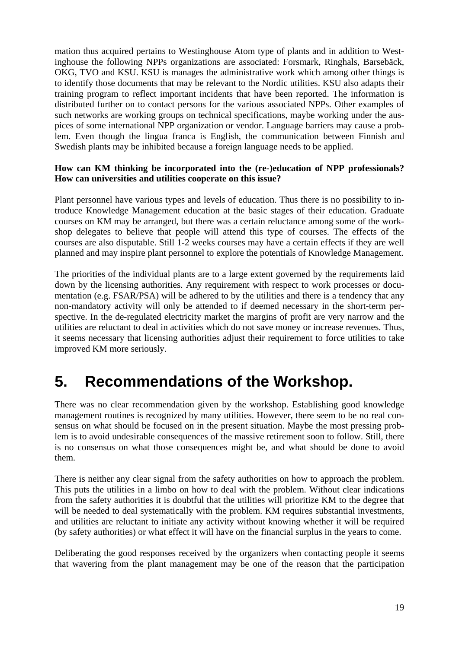<span id="page-20-0"></span>mation thus acquired pertains to Westinghouse Atom type of plants and in addition to Westinghouse the following NPPs organizations are associated: Forsmark, Ringhals, Barsebäck, OKG, TVO and KSU. KSU is manages the administrative work which among other things is to identify those documents that may be relevant to the Nordic utilities. KSU also adapts their training program to reflect important incidents that have been reported. The information is distributed further on to contact persons for the various associated NPPs. Other examples of such networks are working groups on technical specifications, maybe working under the auspices of some international NPP organization or vendor. Language barriers may cause a problem. Even though the lingua franca is English, the communication between Finnish and Swedish plants may be inhibited because a foreign language needs to be applied.

#### **How can KM thinking be incorporated into the (re-)education of NPP professionals? How can universities and utilities cooperate on this issue?**

Plant personnel have various types and levels of education. Thus there is no possibility to introduce Knowledge Management education at the basic stages of their education. Graduate courses on KM may be arranged, but there was a certain reluctance among some of the workshop delegates to believe that people will attend this type of courses. The effects of the courses are also disputable. Still 1-2 weeks courses may have a certain effects if they are well planned and may inspire plant personnel to explore the potentials of Knowledge Management.

The priorities of the individual plants are to a large extent governed by the requirements laid down by the licensing authorities. Any requirement with respect to work processes or documentation (e.g. FSAR/PSA) will be adhered to by the utilities and there is a tendency that any non-mandatory activity will only be attended to if deemed necessary in the short-term perspective. In the de-regulated electricity market the margins of profit are very narrow and the utilities are reluctant to deal in activities which do not save money or increase revenues. Thus, it seems necessary that licensing authorities adjust their requirement to force utilities to take improved KM more seriously.

## **5. Recommendations of the Workshop.**

There was no clear recommendation given by the workshop. Establishing good knowledge management routines is recognized by many utilities. However, there seem to be no real consensus on what should be focused on in the present situation. Maybe the most pressing problem is to avoid undesirable consequences of the massive retirement soon to follow. Still, there is no consensus on what those consequences might be, and what should be done to avoid them.

There is neither any clear signal from the safety authorities on how to approach the problem. This puts the utilities in a limbo on how to deal with the problem. Without clear indications from the safety authorities it is doubtful that the utilities will prioritize KM to the degree that will be needed to deal systematically with the problem. KM requires substantial investments, and utilities are reluctant to initiate any activity without knowing whether it will be required (by safety authorities) or what effect it will have on the financial surplus in the years to come.

Deliberating the good responses received by the organizers when contacting people it seems that wavering from the plant management may be one of the reason that the participation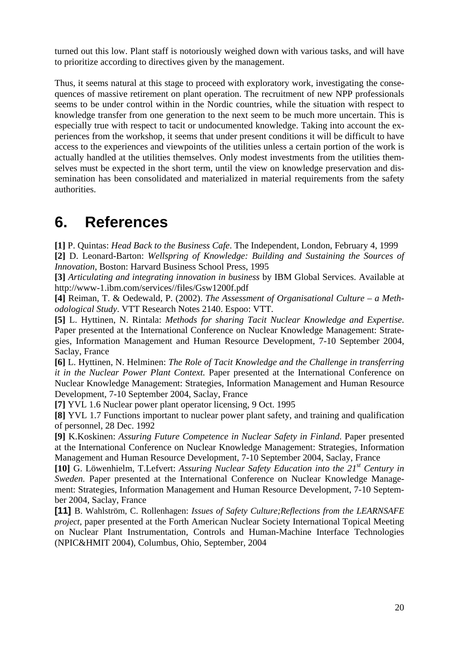<span id="page-21-0"></span>turned out this low. Plant staff is notoriously weighed down with various tasks, and will have to prioritize according to directives given by the management.

Thus, it seems natural at this stage to proceed with exploratory work, investigating the consequences of massive retirement on plant operation. The recruitment of new NPP professionals seems to be under control within in the Nordic countries, while the situation with respect to knowledge transfer from one generation to the next seem to be much more uncertain. This is especially true with respect to tacit or undocumented knowledge. Taking into account the experiences from the workshop, it seems that under present conditions it will be difficult to have access to the experiences and viewpoints of the utilities unless a certain portion of the work is actually handled at the utilities themselves. Only modest investments from the utilities themselves must be expected in the short term, until the view on knowledge preservation and dissemination has been consolidated and materialized in material requirements from the safety authorities.

## **6. References**

<span id="page-21-1"></span>**[1]** P. Quintas: *Head Back to the Business Cafe*. The Independent, London, February 4, 1999 **[2]** D. Leonard-Barton: *Wellspring of Knowledge: Building and Sustaining the Sources of Innovation*, Boston: Harvard Business School Press, 1995

**[3]** *Articulating and integrating innovation in business* by IBM Global Services. Available at <http://www-1.ibm.com/services//files/Gsw1200f.pdf>

**[4]** Reiman, T. & Oedewald, P. (2002). *The Assessment of Organisational Culture – a Methodological Study*. VTT Research Notes 2140. Espoo: VTT.

**[5]** L. Hyttinen, N. Rintala: *Methods for sharing Tacit Nuclear Knowledge and Expertise*. Paper presented at the International Conference on Nuclear Knowledge Management: Strategies, Information Management and Human Resource Development, 7-10 September 2004, Saclay, France

**[6]** L. Hyttinen, N. Helminen: *The Role of Tacit Knowledge and the Challenge in transferring it in the Nuclear Power Plant Context.* Paper presented at the International Conference on Nuclear Knowledge Management: Strategies, Information Management and Human Resource Development, 7-10 September 2004, Saclay, France

**[7]** YVL 1.6 Nuclear power plant operator licensing, 9 Oct. 1995

**[8]** YVL 1.7 Functions important to nuclear power plant safety, and training and qualification of personnel, 28 Dec. 1992

**[9]** K.Koskinen: *Assuring Future Competence in Nuclear Safety in Finland*. Paper presented at the International Conference on Nuclear Knowledge Management: Strategies, Information Management and Human Resource Development, 7-10 September 2004, Saclay, France

**[10]** G. Löwenhielm, T.Lefvert: *Assuring Nuclear Safety Education into the 21st Century in Sweden.* Paper presented at the International Conference on Nuclear Knowledge Management: Strategies, Information Management and Human Resource Development, 7-10 September 2004, Saclay, France

**[11]** B. Wahlström, C. Rollenhagen: *Issues of Safety Culture;Reflections from the LEARNSAFE project,* paper presented at the Forth American Nuclear Society International Topical Meeting on Nuclear Plant Instrumentation, Controls and Human-Machine Interface Technologies (NPIC&HMIT 2004), Columbus, Ohio, September, 2004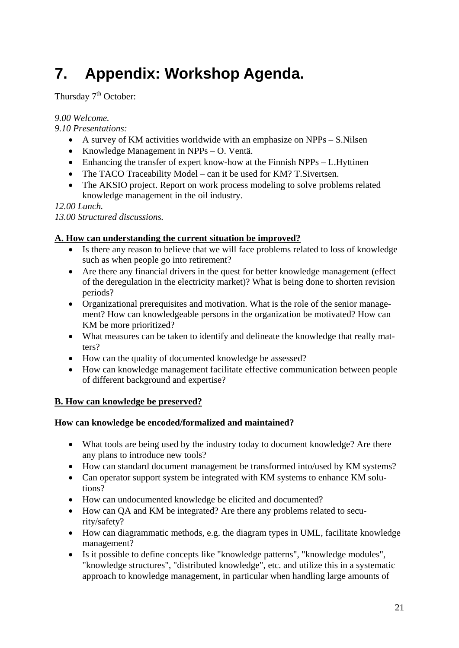# <span id="page-22-0"></span>**7. Appendix: Workshop Agenda.**

Thursday  $7<sup>th</sup>$  October:

*9.00 Welcome.* 

*9.10 Presentations:* 

- A survey of KM activities worldwide with an emphasize on NPPs S. Nilsen
- Knowledge Management in NPPs O. Ventä.
- Enhancing the transfer of expert know-how at the Finnish NPPs L.Hyttinen
- The TACO Traceability Model can it be used for KM? T. Sivertsen.
- The AKSIO project. Report on work process modeling to solve problems related knowledge management in the oil industry.

*12.00 Lunch.* 

*13.00 Structured discussions.* 

### **A. How can understanding the current situation be improved?**

- Is there any reason to believe that we will face problems related to loss of knowledge such as when people go into retirement?
- Are there any financial drivers in the quest for better knowledge management (effect of the deregulation in the electricity market)? What is being done to shorten revision periods?
- Organizational prerequisites and motivation. What is the role of the senior management? How can knowledgeable persons in the organization be motivated? How can KM be more prioritized?
- What measures can be taken to identify and delineate the knowledge that really matters?
- How can the quality of documented knowledge be assessed?
- How can knowledge management facilitate effective communication between people of different background and expertise?

### **B. How can knowledge be preserved?**

### **How can knowledge be encoded/formalized and maintained?**

- What tools are being used by the industry today to document knowledge? Are there any plans to introduce new tools?
- How can standard document management be transformed into/used by KM systems?
- Can operator support system be integrated with KM systems to enhance KM solutions?
- How can undocumented knowledge be elicited and documented?
- How can QA and KM be integrated? Are there any problems related to security/safety?
- How can diagrammatic methods, e.g. the diagram types in UML, facilitate knowledge management?
- Is it possible to define concepts like "knowledge patterns", "knowledge modules", "knowledge structures", "distributed knowledge", etc. and utilize this in a systematic approach to knowledge management, in particular when handling large amounts of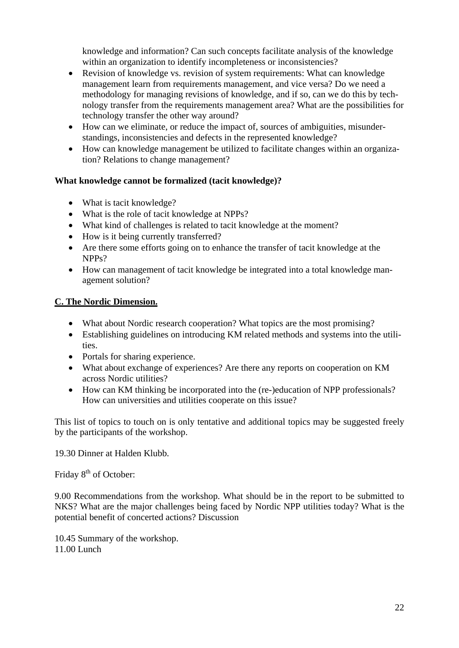knowledge and information? Can such concepts facilitate analysis of the knowledge within an organization to identify incompleteness or inconsistencies?

- Revision of knowledge vs. revision of system requirements: What can knowledge management learn from requirements management, and vice versa? Do we need a methodology for managing revisions of knowledge, and if so, can we do this by technology transfer from the requirements management area? What are the possibilities for technology transfer the other way around?
- How can we eliminate, or reduce the impact of, sources of ambiguities, misunderstandings, inconsistencies and defects in the represented knowledge?
- How can knowledge management be utilized to facilitate changes within an organization? Relations to change management?

#### **What knowledge cannot be formalized (tacit knowledge)?**

- What is tacit knowledge?
- What is the role of tacit knowledge at NPPs?
- What kind of challenges is related to tacit knowledge at the moment?
- How is it being currently transferred?
- Are there some efforts going on to enhance the transfer of tacit knowledge at the NPPs?
- How can management of tacit knowledge be integrated into a total knowledge management solution?

#### **C. The Nordic Dimension.**

- What about Nordic research cooperation? What topics are the most promising?
- Establishing guidelines on introducing KM related methods and systems into the utilities.
- Portals for sharing experience.
- What about exchange of experiences? Are there any reports on cooperation on KM across Nordic utilities?
- How can KM thinking be incorporated into the (re-)education of NPP professionals? How can universities and utilities cooperate on this issue?

This list of topics to touch on is only tentative and additional topics may be suggested freely by the participants of the workshop.

19.30 Dinner at Halden Klubb.

Friday 8<sup>th</sup> of October:

9.00 Recommendations from the workshop. What should be in the report to be submitted to NKS? What are the major challenges being faced by Nordic NPP utilities today? What is the potential benefit of concerted actions? Discussion

10.45 Summary of the workshop. 11.00 Lunch